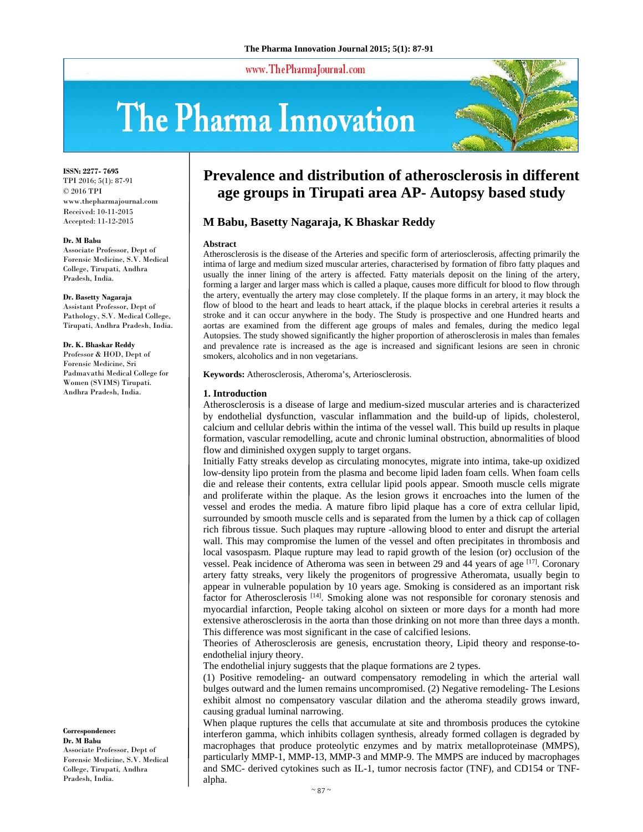www.ThePharmaJournal.com

# The Pharma Innovation



**ISSN: 2277- 7695** TPI 2016; 5(1): 87-91 © 2016 TPI www.thepharmajournal.com Received: 10-11-2015 Accepted: 11-12-2015

#### **Dr. M Babu**

Associate Professor, Dept of Forensic Medicine, S.V. Medical College, Tirupati, Andhra Pradesh, India.

# **Dr. Basetty Nagaraja**

Assistant Professor, Dept of Pathology, S.V. Medical College, Tirupati, Andhra Pradesh, India.

#### **Dr. K. Bhaskar Reddy**

Professor & HOD, Dept of Forensic Medicine, Sri Padmavathi Medical College for Women (SVIMS) Tirupati. Andhra Pradesh, India.

**Correspondence: Dr. M Babu**  Associate Professor, Dept of Forensic Medicine, S.V. Medical College, Tirupati, Andhra Pradesh, India.

# **Prevalence and distribution of atherosclerosis in different age groups in Tirupati area AP- Autopsy based study**

# **M Babu, Basetty Nagaraja, K Bhaskar Reddy**

#### **Abstract**

Atherosclerosis is the disease of the Arteries and specific form of arteriosclerosis, affecting primarily the intima of large and medium sized muscular arteries, characterised by formation of fibro fatty plaques and usually the inner lining of the artery is affected. Fatty materials deposit on the lining of the artery, forming a larger and larger mass which is called a plaque, causes more difficult for blood to flow through the artery, eventually the artery may close completely. If the plaque forms in an artery, it may block the flow of blood to the heart and leads to heart attack, if the plaque blocks in cerebral arteries it results a stroke and it can occur anywhere in the body. The Study is prospective and one Hundred hearts and aortas are examined from the different age groups of males and females, during the medico legal Autopsies. The study showed significantly the higher proportion of atherosclerosis in males than females and prevalence rate is increased as the age is increased and significant lesions are seen in chronic smokers, alcoholics and in non vegetarians.

**Keywords:** Atherosclerosis, Atheroma's, Arteriosclerosis.

#### **1. Introduction**

Atherosclerosis is a disease of large and medium-sized muscular arteries and is characterized by endothelial dysfunction, vascular inflammation and the build-up of lipids, cholesterol, calcium and cellular debris within the intima of the vessel wall. This build up results in plaque formation, vascular remodelling, acute and chronic luminal obstruction, abnormalities of blood flow and diminished oxygen supply to target organs.

Initially Fatty streaks develop as circulating monocytes, migrate into intima, take-up oxidized low-density lipo protein from the plasma and become lipid laden foam cells. When foam cells die and release their contents, extra cellular lipid pools appear. Smooth muscle cells migrate and proliferate within the plaque. As the lesion grows it encroaches into the lumen of the vessel and erodes the media. A mature fibro lipid plaque has a core of extra cellular lipid, surrounded by smooth muscle cells and is separated from the lumen by a thick cap of collagen rich fibrous tissue. Such plaques may rupture -allowing blood to enter and disrupt the arterial wall. This may compromise the lumen of the vessel and often precipitates in thrombosis and local vasospasm. Plaque rupture may lead to rapid growth of the lesion (or) occlusion of the vessel. Peak incidence of Atheroma was seen in between 29 and 44 years of age <sup>[17]</sup>. Coronary artery fatty streaks, very likely the progenitors of progressive Atheromata, usually begin to appear in vulnerable population by 10 years age. Smoking is considered as an important risk factor for Atherosclerosis [14]. Smoking alone was not responsible for coronary stenosis and myocardial infarction, People taking alcohol on sixteen or more days for a month had more extensive atherosclerosis in the aorta than those drinking on not more than three days a month. This difference was most significant in the case of calcified lesions.

Theories of Atherosclerosis are genesis, encrustation theory, Lipid theory and response-toendothelial injury theory.

The endothelial injury suggests that the plaque formations are 2 types.

(1) Positive remodeling- an outward compensatory remodeling in which the arterial wall bulges outward and the lumen remains uncompromised. (2) Negative remodeling- The Lesions exhibit almost no compensatory vascular dilation and the atheroma steadily grows inward, causing gradual luminal narrowing.

When plaque ruptures the cells that accumulate at site and thrombosis produces the cytokine interferon gamma, which inhibits collagen synthesis, already formed collagen is degraded by macrophages that produce proteolytic enzymes and by matrix metalloproteinase (MMPS), particularly MMP-1, MMP-13, MMP-3 and MMP-9. The MMPS are induced by macrophages and SMC- derived cytokines such as IL-1, tumor necrosis factor (TNF), and CD154 or TNFalpha.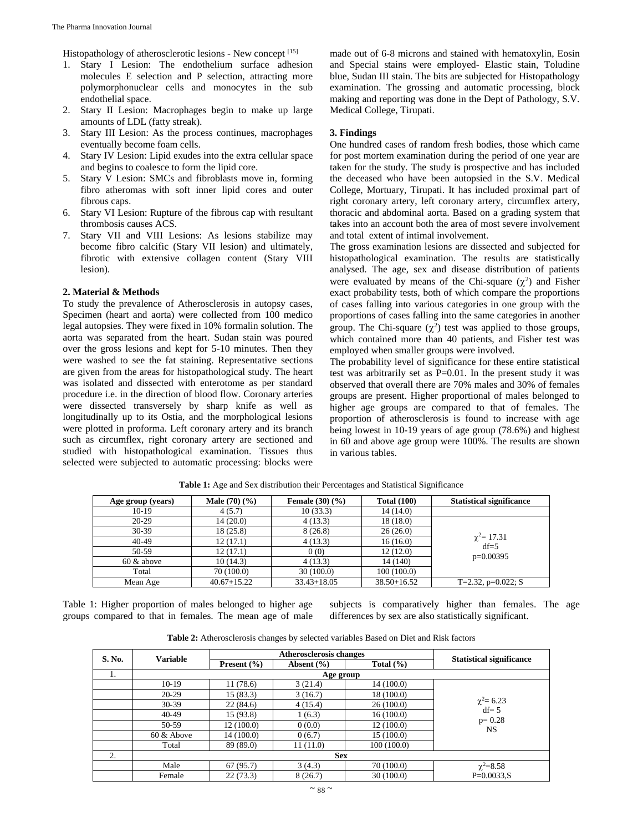Histopathology of atherosclerotic lesions - New concept [15]

- 1. Stary I Lesion: The endothelium surface adhesion molecules E selection and P selection, attracting more polymorphonuclear cells and monocytes in the sub endothelial space.
- 2. Stary II Lesion: Macrophages begin to make up large amounts of LDL (fatty streak).
- 3. Stary III Lesion: As the process continues, macrophages eventually become foam cells.
- 4. Stary IV Lesion: Lipid exudes into the extra cellular space and begins to coalesce to form the lipid core.
- 5. Stary V Lesion: SMCs and fibroblasts move in, forming fibro atheromas with soft inner lipid cores and outer fibrous caps.
- 6. Stary VI Lesion: Rupture of the fibrous cap with resultant thrombosis causes ACS.
- 7. Stary VII and VIII Lesions: As lesions stabilize may become fibro calcific (Stary VII lesion) and ultimately, fibrotic with extensive collagen content (Stary VIII lesion).

#### **2. Material & Methods**

To study the prevalence of Atherosclerosis in autopsy cases, Specimen (heart and aorta) were collected from 100 medico legal autopsies. They were fixed in 10% formalin solution. The aorta was separated from the heart. Sudan stain was poured over the gross lesions and kept for 5-10 minutes. Then they were washed to see the fat staining. Representative sections are given from the areas for histopathological study. The heart was isolated and dissected with enterotome as per standard procedure i.e. in the direction of blood flow. Coronary arteries were dissected transversely by sharp knife as well as longitudinally up to its Ostia, and the morphological lesions were plotted in proforma. Left coronary artery and its branch such as circumflex, right coronary artery are sectioned and studied with histopathological examination. Tissues thus selected were subjected to automatic processing: blocks were

made out of 6-8 microns and stained with hematoxylin, Eosin and Special stains were employed- Elastic stain, Toludine blue, Sudan III stain. The bits are subjected for Histopathology examination. The grossing and automatic processing, block making and reporting was done in the Dept of Pathology, S.V. Medical College, Tirupati.

# **3. Findings**

One hundred cases of random fresh bodies, those which came for post mortem examination during the period of one year are taken for the study. The study is prospective and has included the deceased who have been autopsied in the S.V. Medical College, Mortuary, Tirupati. It has included proximal part of right coronary artery, left coronary artery, circumflex artery, thoracic and abdominal aorta. Based on a grading system that takes into an account both the area of most severe involvement and total extent of intimal involvement.

The gross examination lesions are dissected and subjected for histopathological examination. The results are statistically analysed. The age, sex and disease distribution of patients were evaluated by means of the Chi-square  $(\chi^2)$  and Fisher exact probability tests, both of which compare the proportions of cases falling into various categories in one group with the proportions of cases falling into the same categories in another group. The Chi-square  $(\chi^2)$  test was applied to those groups, which contained more than 40 patients, and Fisher test was employed when smaller groups were involved.

The probability level of significance for these entire statistical test was arbitrarily set as  $P=0.01$ . In the present study it was observed that overall there are 70% males and 30% of females groups are present. Higher proportional of males belonged to higher age groups are compared to that of females. The proportion of atherosclerosis is found to increase with age being lowest in 10-19 years of age group (78.6%) and highest in 60 and above age group were 100%. The results are shown in various tables.

| Age group (years) | <b>Male</b> $(70)(%$ | <b>Female</b> $(30)(%$ | <b>Total (100)</b> | <b>Statistical significance</b> |
|-------------------|----------------------|------------------------|--------------------|---------------------------------|
| $10-19$           | 4(5.7)               | 10(33.3)               | 14(14.0)           |                                 |
| $20-29$           | 14(20.0)             | 4(13.3)                | 18(18.0)           |                                 |
| $30-39$           | 18(25.8)             | 8(26.8)                | 26(26.0)           |                                 |
| $40 - 49$         | 12(17.1)             | 4(13.3)                | 16(16.0)           | $\chi^2$ = 17.31<br>$df=5$      |
| 50-59             | 12(17.1)             | 0(0)                   | 12(12.0)           |                                 |
| $60 \&$ above     | 10(14.3)             | 4(13.3)                | 14 (140)           | $p=0.00395$                     |
| Total             | 70(100.0)            | 30(100.0)              | 100(100.0)         |                                 |
| Mean Age          | $40.67 + 15.22$      | $33.43 + 18.05$        | $38.50 + 16.52$    | T=2.32, $p=0.022$ ; S           |

**Table 1:** Age and Sex distribution their Percentages and Statistical Significance

Table 1: Higher proportion of males belonged to higher age groups compared to that in females. The mean age of male subjects is comparatively higher than females. The age differences by sex are also statistically significant.

**Table 2:** Atherosclerosis changes by selected variables Based on Diet and Risk factors

| S. No. | <b>Variable</b> | <b>Atherosclerosis changes</b> |                |               |                                 |  |  |  |
|--------|-----------------|--------------------------------|----------------|---------------|---------------------------------|--|--|--|
|        |                 | Present $(\% )$                | Absent $(\% )$ | Total $(\% )$ | <b>Statistical significance</b> |  |  |  |
| 1.     | Age group       |                                |                |               |                                 |  |  |  |
|        | $10-19$         | 11(78.6)                       | 3(21.4)        | 14(100.0)     |                                 |  |  |  |
|        | $20-29$         | 15 (83.3)                      | 3(16.7)        | 18(100.0)     |                                 |  |  |  |
|        | $30-39$         | 22(84.6)                       | 4(15.4)        | 26(100.0)     | $\chi^2$ = 6.23                 |  |  |  |
|        | 40-49           | 15(93.8)                       | 1(6.3)         | 16(100.0)     | $df = 5$                        |  |  |  |
|        | 50-59           | 12 (100.0)                     | 0(0.0)         | 12(100.0)     | $p = 0.28$<br><b>NS</b>         |  |  |  |
|        | $60 \&$ Above   | 14 (100.0)                     | 0(6.7)         | 15(100.0)     |                                 |  |  |  |
|        | Total           | 89 (89.0)                      | 11(11.0)       | 100(100.0)    |                                 |  |  |  |
| 2.     |                 | <b>Sex</b>                     |                |               |                                 |  |  |  |
|        | Male            | 67(95.7)                       | 3(4.3)         | 70(100.0)     | $\chi^2 = 8.58$                 |  |  |  |
|        | Female          | 22(73.3)                       | 8(26.7)        | 30(100.0)     | $P=0.0033.S$                    |  |  |  |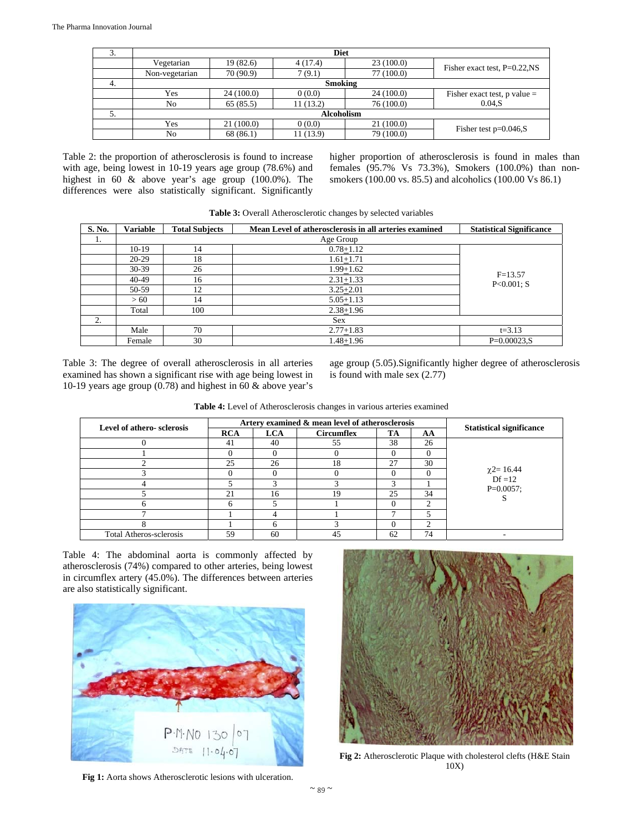| 3. | <b>Diet</b>       |           |          |            |                                  |  |  |  |
|----|-------------------|-----------|----------|------------|----------------------------------|--|--|--|
|    | Vegetarian        | 19(82.6)  | 4(17.4)  | 23(100.0)  | Fisher exact test, $P=0.22$ , NS |  |  |  |
|    | Non-vegetarian    | 70 (90.9) | 7(9.1)   | 77 (100.0) |                                  |  |  |  |
| 4. | <b>Smoking</b>    |           |          |            |                                  |  |  |  |
|    | Yes               | 24(100.0) | 0(0.0)   | 24 (100.0) | Fisher exact test, $p$ value =   |  |  |  |
|    | No                | 65(85.5)  | 11(13.2) | 76(100.0)  | 0.04.S                           |  |  |  |
| 5. | <b>Alcoholism</b> |           |          |            |                                  |  |  |  |
|    | Yes               | 21(100.0) | 0(0.0)   | 21 (100.0) |                                  |  |  |  |
|    | No                | 68 (86.1) | 11(13.9) | 79 (100.0) | Fisher test $p=0.046$ , S        |  |  |  |

Table 2: the proportion of atherosclerosis is found to increase with age, being lowest in 10-19 years age group (78.6%) and highest in 60 & above year's age group (100.0%). The differences were also statistically significant. Significantly

higher proportion of atherosclerosis is found in males than females (95.7% Vs 73.3%), Smokers (100.0%) than nonsmokers (100.00 vs. 85.5) and alcoholics (100.00 Vs 86.1)

| <b>Table 5:</b> Overall Published one enanges by selected variables |                 |                       |                                                        |                                 |  |  |
|---------------------------------------------------------------------|-----------------|-----------------------|--------------------------------------------------------|---------------------------------|--|--|
| S. No.                                                              | <b>Variable</b> | <b>Total Subjects</b> | Mean Level of atherosclerosis in all arteries examined | <b>Statistical Significance</b> |  |  |
| 1.                                                                  |                 |                       | Age Group                                              |                                 |  |  |
|                                                                     | $10-19$         | 14                    | $0.78 + 1.12$                                          |                                 |  |  |
|                                                                     | $20-29$         | 18                    | $1.61 + 1.71$                                          |                                 |  |  |
|                                                                     | $30-39$         | 26                    | 1.99+1.62                                              |                                 |  |  |
|                                                                     | $40-49$         | 16                    | $2.31 + 1.33$                                          | $F=13.57$<br>$P<0.001$ ; S      |  |  |
|                                                                     | 50-59           | 12                    | $3.25 + 2.01$                                          |                                 |  |  |
|                                                                     | > 60            | 14                    | $5.05 + 1.13$                                          |                                 |  |  |
|                                                                     | Total           | 100                   | $2.38 + 1.96$                                          |                                 |  |  |
| 2.                                                                  |                 |                       | <b>Sex</b>                                             |                                 |  |  |
|                                                                     | Male            | 70                    | $2.77 + 1.83$                                          | $t = 3.13$                      |  |  |
|                                                                     | Female          | 30                    | $1.48 + 1.96$                                          | $P=0.00023.S$                   |  |  |

**Table 3:** Overall Atherosclerotic changes by selected variables

Table 3: The degree of overall atherosclerosis in all arteries examined has shown a significant rise with age being lowest in 10-19 years age group (0.78) and highest in 60 & above year's age group (5.05).Significantly higher degree of atherosclerosis is found with male sex (2.77)

| <b>Table 4:</b> Level of Atherosclerosis changes in various arteries examined |  |  |
|-------------------------------------------------------------------------------|--|--|
|                                                                               |  |  |

| Level of athero-sclerosis      | Artery examined & mean level of atherosclerosis |            |                   |    |          |                                 |
|--------------------------------|-------------------------------------------------|------------|-------------------|----|----------|---------------------------------|
|                                | <b>RCA</b>                                      | <b>LCA</b> | <b>Circumflex</b> | TA | AA       | <b>Statistical significance</b> |
|                                | 41                                              | 40         | 55                | 38 | 26       |                                 |
|                                |                                                 |            |                   |    |          |                                 |
|                                | 25                                              | 26         | 18                | 27 | 30       |                                 |
|                                |                                                 |            |                   |    | $\Omega$ | $\chi$ 2= 16.44<br>Df = 12      |
|                                |                                                 |            |                   |    |          | $P=0.0057$ ;                    |
|                                | 21                                              | 16         | 19                | 25 | 34       |                                 |
|                                |                                                 |            |                   |    |          |                                 |
|                                |                                                 |            |                   |    |          |                                 |
|                                |                                                 | h          |                   |    | ◠        |                                 |
| <b>Total Atheros-sclerosis</b> | 59                                              | 60         | 45                | 62 | 74       |                                 |

Table 4: The abdominal aorta is commonly affected by atherosclerosis (74%) compared to other arteries, being lowest in circumflex artery (45.0%). The differences between arteries are also statistically significant.



Fig 1: Aorta shows Atherosclerotic lesions with ulceration.



**Fig 2:** Atherosclerotic Plaque with cholesterol clefts (H&E Stain 10X)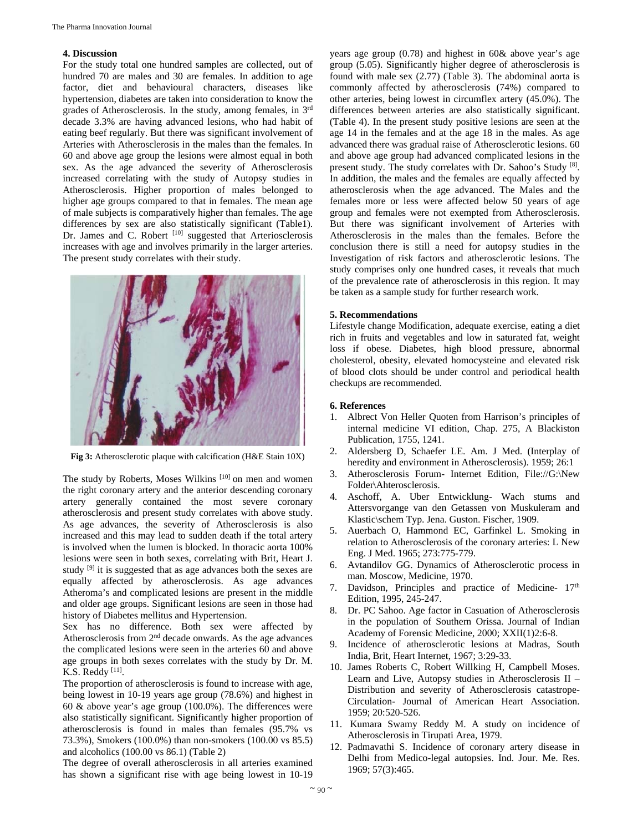# **4. Discussion**

For the study total one hundred samples are collected, out of hundred 70 are males and 30 are females. In addition to age factor, diet and behavioural characters, diseases like hypertension, diabetes are taken into consideration to know the grades of Atherosclerosis. In the study, among females, in 3rd decade 3.3% are having advanced lesions, who had habit of eating beef regularly. But there was significant involvement of Arteries with Atherosclerosis in the males than the females. In 60 and above age group the lesions were almost equal in both sex. As the age advanced the severity of Atherosclerosis increased correlating with the study of Autopsy studies in Atherosclerosis. Higher proportion of males belonged to higher age groups compared to that in females. The mean age of male subjects is comparatively higher than females. The age differences by sex are also statistically significant (Table1). Dr. James and C. Robert <sup>[10]</sup> suggested that Arteriosclerosis increases with age and involves primarily in the larger arteries. The present study correlates with their study.



**Fig 3:** Atherosclerotic plaque with calcification (H&E Stain 10X)

The study by Roberts, Moses Wilkins [10] on men and women the right coronary artery and the anterior descending coronary artery generally contained the most severe coronary atherosclerosis and present study correlates with above study. As age advances, the severity of Atherosclerosis is also increased and this may lead to sudden death if the total artery is involved when the lumen is blocked. In thoracic aorta 100% lesions were seen in both sexes, correlating with Brit, Heart J. study [9] it is suggested that as age advances both the sexes are equally affected by atherosclerosis. As age advances Atheroma's and complicated lesions are present in the middle and older age groups. Significant lesions are seen in those had history of Diabetes mellitus and Hypertension.

Sex has no difference. Both sex were affected by Atherosclerosis from 2nd decade onwards. As the age advances the complicated lesions were seen in the arteries 60 and above age groups in both sexes correlates with the study by Dr. M. K.S. Reddy [11].

The proportion of atherosclerosis is found to increase with age, being lowest in 10-19 years age group (78.6%) and highest in 60 & above year's age group (100.0%). The differences were also statistically significant. Significantly higher proportion of atherosclerosis is found in males than females (95.7% vs 73.3%), Smokers (100.0%) than non-smokers (100.00 vs 85.5) and alcoholics (100.00 vs 86.1) (Table 2)

The degree of overall atherosclerosis in all arteries examined has shown a significant rise with age being lowest in 10-19

years age group (0.78) and highest in 60& above year's age group (5.05). Significantly higher degree of atherosclerosis is found with male sex (2.77) (Table 3). The abdominal aorta is commonly affected by atherosclerosis (74%) compared to other arteries, being lowest in circumflex artery (45.0%). The differences between arteries are also statistically significant. (Table 4). In the present study positive lesions are seen at the age 14 in the females and at the age 18 in the males. As age advanced there was gradual raise of Atherosclerotic lesions. 60 and above age group had advanced complicated lesions in the present study. The study correlates with Dr. Sahoo's Study [8]. In addition, the males and the females are equally affected by atherosclerosis when the age advanced. The Males and the females more or less were affected below 50 years of age group and females were not exempted from Atherosclerosis. But there was significant involvement of Arteries with Atherosclerosis in the males than the females. Before the conclusion there is still a need for autopsy studies in the Investigation of risk factors and atherosclerotic lesions. The study comprises only one hundred cases, it reveals that much of the prevalence rate of atherosclerosis in this region. It may be taken as a sample study for further research work.

#### **5. Recommendations**

Lifestyle change Modification, adequate exercise, eating a diet rich in fruits and vegetables and low in saturated fat, weight loss if obese. Diabetes, high blood pressure, abnormal cholesterol, obesity, elevated homocysteine and elevated risk of blood clots should be under control and periodical health checkups are recommended.

# **6. References**

- 1. Albrect Von Heller Quoten from Harrison's principles of internal medicine VI edition, Chap. 275, A Blackiston Publication, 1755, 1241.
- 2. Aldersberg D, Schaefer LE. Am. J Med. (Interplay of heredity and environment in Atherosclerosis). 1959; 26:1
- 3. Atherosclerosis Forum- Internet Edition, File://G:\New Folder\Ahterosclerosis.
- 4. Aschoff, A. Uber Entwicklung- Wach stums and Attersvorgange van den Getassen von Muskuleram and Klastic\schem Typ. Jena. Guston. Fischer, 1909.
- 5. Auerbach O, Hammond EC, Garfinkel L. Smoking in relation to Atherosclerosis of the coronary arteries: L New Eng. J Med. 1965; 273:775-779.
- 6. Avtandilov GG. Dynamics of Atherosclerotic process in man. Moscow, Medicine, 1970.
- 7. Davidson, Principles and practice of Medicine-  $17<sup>th</sup>$ Edition, 1995, 245-247.
- 8. Dr. PC Sahoo. Age factor in Casuation of Atherosclerosis in the population of Southern Orissa. Journal of Indian Academy of Forensic Medicine, 2000; XXII(1)2:6-8.
- 9. Incidence of atherosclerotic lesions at Madras, South India, Brit, Heart Internet, 1967; 3:29-33.
- 10. James Roberts C, Robert Willking H, Campbell Moses. Learn and Live, Autopsy studies in Atherosclerosis II – Distribution and severity of Atherosclerosis catastrope-Circulation- Journal of American Heart Association. 1959; 20:520-526.
- 11. Kumara Swamy Reddy M. A study on incidence of Atherosclerosis in Tirupati Area, 1979.
- 12. Padmavathi S. Incidence of coronary artery disease in Delhi from Medico-legal autopsies. Ind. Jour. Me. Res. 1969; 57(3):465.